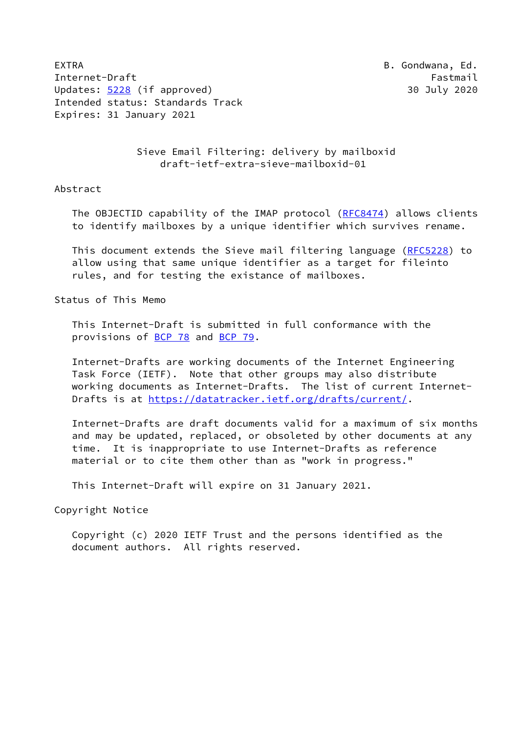EXTRA B. Gondwana, Ed. Internet-Draft Fastmail Fastmail Updates: [5228](https://datatracker.ietf.org/doc/pdf/rfc5228) (if approved) 30 July 2020 Intended status: Standards Track Expires: 31 January 2021

 Sieve Email Filtering: delivery by mailboxid draft-ietf-extra-sieve-mailboxid-01

Abstract

The OBJECTID capability of the IMAP protocol [\(RFC8474](https://datatracker.ietf.org/doc/pdf/rfc8474)) allows clients to identify mailboxes by a unique identifier which survives rename.

 This document extends the Sieve mail filtering language [\(RFC5228](https://datatracker.ietf.org/doc/pdf/rfc5228)) to allow using that same unique identifier as a target for fileinto rules, and for testing the existance of mailboxes.

Status of This Memo

 This Internet-Draft is submitted in full conformance with the provisions of [BCP 78](https://datatracker.ietf.org/doc/pdf/bcp78) and [BCP 79](https://datatracker.ietf.org/doc/pdf/bcp79).

 Internet-Drafts are working documents of the Internet Engineering Task Force (IETF). Note that other groups may also distribute working documents as Internet-Drafts. The list of current Internet- Drafts is at<https://datatracker.ietf.org/drafts/current/>.

 Internet-Drafts are draft documents valid for a maximum of six months and may be updated, replaced, or obsoleted by other documents at any time. It is inappropriate to use Internet-Drafts as reference material or to cite them other than as "work in progress."

This Internet-Draft will expire on 31 January 2021.

Copyright Notice

 Copyright (c) 2020 IETF Trust and the persons identified as the document authors. All rights reserved.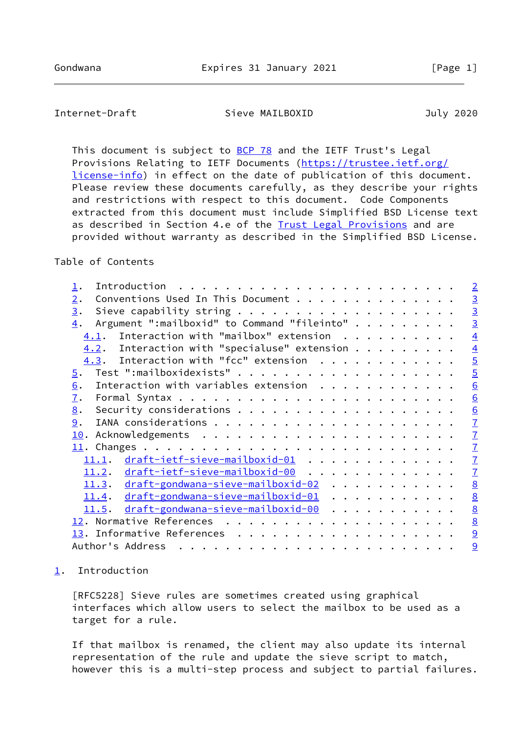<span id="page-1-1"></span>Internet-Draft Sieve MAILBOXID July 2020

This document is subject to **[BCP 78](https://datatracker.ietf.org/doc/pdf/bcp78)** and the IETF Trust's Legal Provisions Relating to IETF Documents ([https://trustee.ietf.org/](https://trustee.ietf.org/license-info) [license-info](https://trustee.ietf.org/license-info)) in effect on the date of publication of this document. Please review these documents carefully, as they describe your rights and restrictions with respect to this document. Code Components extracted from this document must include Simplified BSD License text as described in Section 4.e of the [Trust Legal Provisions](https://trustee.ietf.org/license-info) and are provided without warranty as described in the Simplified BSD License.

# Table of Contents

|                                                                 | $\overline{2}$  |
|-----------------------------------------------------------------|-----------------|
| Conventions Used In This Document<br>2.                         |                 |
| Sieve capability string $\ldots$<br>3.                          | $\frac{3}{3}$   |
| Argument ":mailboxid" to Command "fileinto"<br>$\overline{4}$ . | $\overline{3}$  |
| Interaction with "mailbox" extension<br>4.1.                    | $\overline{4}$  |
| $4.2$ . Interaction with "specialuse" extension                 | $\overline{4}$  |
| 4.3. Interaction with "fcc" extension                           | $\overline{5}$  |
| 5.                                                              | $\overline{5}$  |
| Interaction with variables extension<br>6.                      | 6               |
| $\overline{1}$ .                                                | 6               |
| 8.                                                              | 6               |
| 9.                                                              | $\overline{1}$  |
|                                                                 | $\mathbf{I}$    |
|                                                                 | $\overline{1}$  |
| <u>11.1. draft-ietf-sieve-mailboxid-01</u>                      | $\mathbf{Z}$    |
| 11.2. draft-ietf-sieve-mailboxid-00                             | $\overline{1}$  |
| 11.3. draft-gondwana-sieve-mailboxid-02                         | $\underline{8}$ |
| 11.4. draft-gondwana-sieve-mailboxid-01                         | $\underline{8}$ |
| 11.5. draft-gondwana-sieve-mailboxid-00                         | $\underline{8}$ |
|                                                                 | 8               |
|                                                                 | 9               |
| Author's Address                                                | $\underline{9}$ |

# <span id="page-1-0"></span>[1](#page-1-0). Introduction

 [RFC5228] Sieve rules are sometimes created using graphical interfaces which allow users to select the mailbox to be used as a target for a rule.

 If that mailbox is renamed, the client may also update its internal representation of the rule and update the sieve script to match, however this is a multi-step process and subject to partial failures.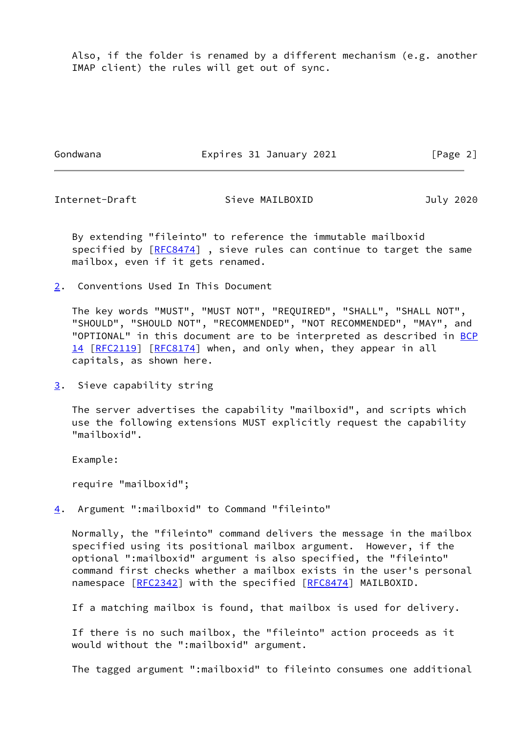Also, if the folder is renamed by a different mechanism (e.g. another IMAP client) the rules will get out of sync.

Gondwana Expires 31 January 2021 [Page 2]

<span id="page-2-1"></span>

Internet-Draft Sieve MAILBOXID July 2020

 By extending "fileinto" to reference the immutable mailboxid specified by [\[RFC8474](https://datatracker.ietf.org/doc/pdf/rfc8474)], sieve rules can continue to target the same mailbox, even if it gets renamed.

<span id="page-2-0"></span>[2](#page-2-0). Conventions Used In This Document

 The key words "MUST", "MUST NOT", "REQUIRED", "SHALL", "SHALL NOT", "SHOULD", "SHOULD NOT", "RECOMMENDED", "NOT RECOMMENDED", "MAY", and "OPTIONAL" in this document are to be interpreted as described in [BCP](https://datatracker.ietf.org/doc/pdf/bcp14) [14](https://datatracker.ietf.org/doc/pdf/bcp14) [[RFC2119\]](https://datatracker.ietf.org/doc/pdf/rfc2119) [\[RFC8174](https://datatracker.ietf.org/doc/pdf/rfc8174)] when, and only when, they appear in all capitals, as shown here.

<span id="page-2-2"></span>[3](#page-2-2). Sieve capability string

 The server advertises the capability "mailboxid", and scripts which use the following extensions MUST explicitly request the capability "mailboxid".

Example:

require "mailboxid";

<span id="page-2-3"></span>[4](#page-2-3). Argument ":mailboxid" to Command "fileinto"

 Normally, the "fileinto" command delivers the message in the mailbox specified using its positional mailbox argument. However, if the optional ":mailboxid" argument is also specified, the "fileinto" command first checks whether a mailbox exists in the user's personal namespace [[RFC2342](https://datatracker.ietf.org/doc/pdf/rfc2342)] with the specified [\[RFC8474](https://datatracker.ietf.org/doc/pdf/rfc8474)] MAILBOXID.

If a matching mailbox is found, that mailbox is used for delivery.

 If there is no such mailbox, the "fileinto" action proceeds as it would without the ":mailboxid" argument.

The tagged argument ":mailboxid" to fileinto consumes one additional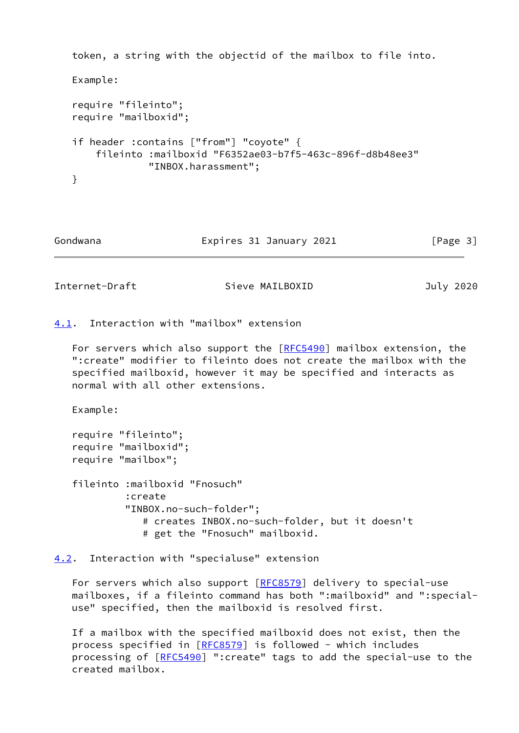```
 token, a string with the objectid of the mailbox to file into.
Example:
require "fileinto";
require "mailboxid";
if header :contains ["from"] "coyote" {
    fileinto :mailboxid "F6352ae03-b7f5-463c-896f-d8b48ee3"
             "INBOX.harassment";
}
```
Gondwana **Expires 31 January 2021** [Page 3]

<span id="page-3-1"></span>Internet-Draft Sieve MAILBOXID July 2020

<span id="page-3-0"></span>[4.1](#page-3-0). Interaction with "mailbox" extension

For servers which also support the  $[REC5490]$  mailbox extension, the ":create" modifier to fileinto does not create the mailbox with the specified mailboxid, however it may be specified and interacts as normal with all other extensions.

Example:

```
 require "fileinto";
require "mailboxid";
require "mailbox";
fileinto :mailboxid "Fnosuch"
         :create
         "INBOX.no-such-folder";
            # creates INBOX.no-such-folder, but it doesn't
            # get the "Fnosuch" mailboxid.
```
<span id="page-3-2"></span>[4.2](#page-3-2). Interaction with "specialuse" extension

 For servers which also support [\[RFC8579](https://datatracker.ietf.org/doc/pdf/rfc8579)] delivery to special-use mailboxes, if a fileinto command has both ":mailboxid" and ":special use" specified, then the mailboxid is resolved first.

 If a mailbox with the specified mailboxid does not exist, then the process specified in [\[RFC8579](https://datatracker.ietf.org/doc/pdf/rfc8579)] is followed - which includes processing of [[RFC5490](https://datatracker.ietf.org/doc/pdf/rfc5490)] ":create" tags to add the special-use to the created mailbox.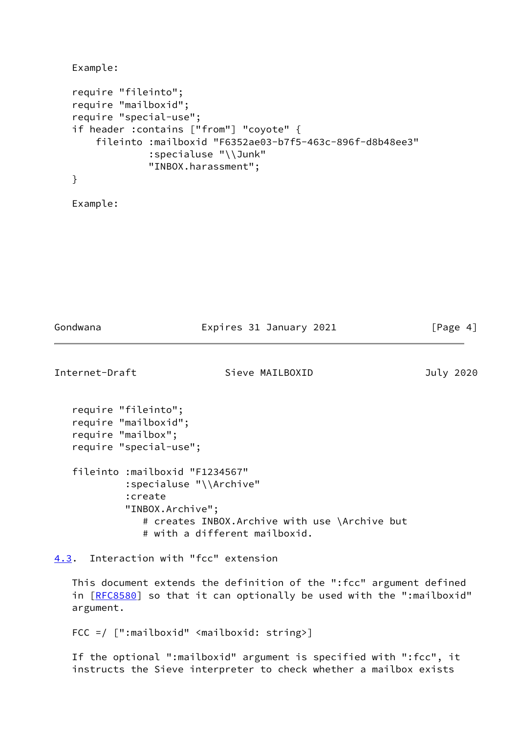```
 require "fileinto";
require "mailboxid";
require "special-use";
if header :contains ["from"] "coyote" {
    fileinto :mailboxid "F6352ae03-b7f5-463c-896f-d8b48ee3"
              :specialuse "\\Junk"
              "INBOX.harassment";
}
```
Example:

Example:

Gondwana **Expires 31 January 2021** [Page 4]

<span id="page-4-1"></span>Internet-Draft Sieve MAILBOXID July 2020 require "fileinto"; require "mailboxid"; require "mailbox"; require "special-use"; fileinto :mailboxid "F1234567" :specialuse "\\Archive" :create "INBOX.Archive"; # creates INBOX.Archive with use \Archive but # with a different mailboxid.

<span id="page-4-0"></span>[4.3](#page-4-0). Interaction with "fcc" extension

 This document extends the definition of the ":fcc" argument defined in [[RFC8580\]](https://datatracker.ietf.org/doc/pdf/rfc8580) so that it can optionally be used with the ":mailboxid" argument.

FCC =/ [":mailboxid" <mailboxid: string>]

 If the optional ":mailboxid" argument is specified with ":fcc", it instructs the Sieve interpreter to check whether a mailbox exists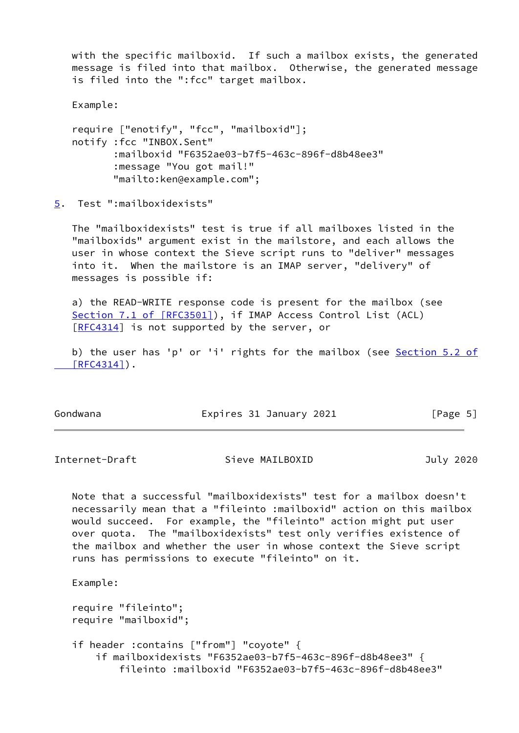with the specific mailboxid. If such a mailbox exists, the generated message is filed into that mailbox. Otherwise, the generated message is filed into the ":fcc" target mailbox.

Example:

 require ["enotify", "fcc", "mailboxid"]; notify :fcc "INBOX.Sent" :mailboxid "F6352ae03-b7f5-463c-896f-d8b48ee3" :message "You got mail!" "mailto:ken@example.com";

<span id="page-5-0"></span>[5](#page-5-0). Test ":mailboxidexists"

 The "mailboxidexists" test is true if all mailboxes listed in the "mailboxids" argument exist in the mailstore, and each allows the user in whose context the Sieve script runs to "deliver" messages into it. When the mailstore is an IMAP server, "delivery" of messages is possible if:

 a) the READ-WRITE response code is present for the mailbox (see Section [7.1 of \[RFC3501\]](https://datatracker.ietf.org/doc/pdf/rfc3501#section-7.1)), if IMAP Access Control List (ACL) [\[RFC4314](https://datatracker.ietf.org/doc/pdf/rfc4314)] is not supported by the server, or

b) the user has 'p' or 'i' rights for the mailbox (see [Section](https://datatracker.ietf.org/doc/pdf/rfc4314#section-5.2) 5.2 of  $[RFC4314]$ .

Gondwana Expires 31 January 2021 [Page 5]

<span id="page-5-1"></span>Internet-Draft Sieve MAILBOXID July 2020

 Note that a successful "mailboxidexists" test for a mailbox doesn't necessarily mean that a "fileinto :mailboxid" action on this mailbox would succeed. For example, the "fileinto" action might put user over quota. The "mailboxidexists" test only verifies existence of the mailbox and whether the user in whose context the Sieve script runs has permissions to execute "fileinto" on it.

Example:

 require "fileinto"; require "mailboxid"; if header :contains ["from"] "coyote" { if mailboxidexists "F6352ae03-b7f5-463c-896f-d8b48ee3" { fileinto :mailboxid "F6352ae03-b7f5-463c-896f-d8b48ee3"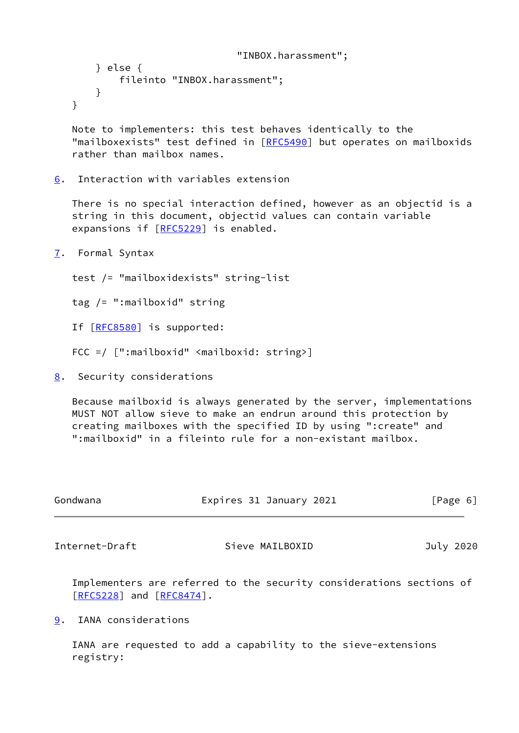```
 "INBOX.harassment";
    } else {
         fileinto "INBOX.harassment";
    }
}
```
 Note to implementers: this test behaves identically to the "mailboxexists" test defined in [\[RFC5490](https://datatracker.ietf.org/doc/pdf/rfc5490)] but operates on mailboxids rather than mailbox names.

<span id="page-6-0"></span>[6](#page-6-0). Interaction with variables extension

 There is no special interaction defined, however as an objectid is a string in this document, objectid values can contain variable expansions if [[RFC5229](https://datatracker.ietf.org/doc/pdf/rfc5229)] is enabled.

<span id="page-6-1"></span>[7](#page-6-1). Formal Syntax

test /= "mailboxidexists" string-list

tag /= ":mailboxid" string

If [[RFC8580\]](https://datatracker.ietf.org/doc/pdf/rfc8580) is supported:

FCC =/ [":mailboxid" <mailboxid: string>]

<span id="page-6-2"></span>[8](#page-6-2). Security considerations

 Because mailboxid is always generated by the server, implementations MUST NOT allow sieve to make an endrun around this protection by creating mailboxes with the specified ID by using ":create" and ":mailboxid" in a fileinto rule for a non-existant mailbox.

<span id="page-6-4"></span>

| Gondwana       | Expires 31 January 2021 | [Page 6]  |
|----------------|-------------------------|-----------|
|                |                         |           |
| Internet-Draft | Sieve MAILBOXID         | July 2020 |

 Implementers are referred to the security considerations sections of [\[RFC5228](https://datatracker.ietf.org/doc/pdf/rfc5228)] and [[RFC8474](https://datatracker.ietf.org/doc/pdf/rfc8474)].

<span id="page-6-3"></span>[9](#page-6-3). IANA considerations

 IANA are requested to add a capability to the sieve-extensions registry: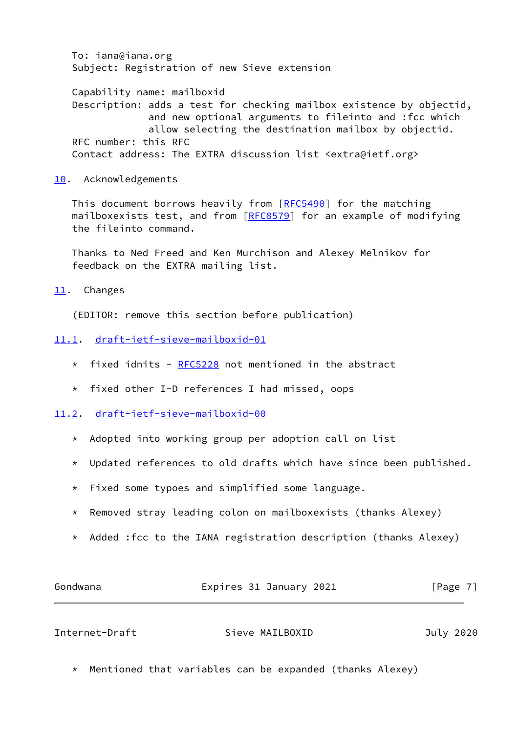To: iana@iana.org Subject: Registration of new Sieve extension

 Capability name: mailboxid Description: adds a test for checking mailbox existence by objectid, and new optional arguments to fileinto and :fcc which allow selecting the destination mailbox by objectid. RFC number: this RFC Contact address: The EXTRA discussion list <extra@ietf.org>

# <span id="page-7-0"></span>[10.](#page-7-0) Acknowledgements

This document borrows heavily from [[RFC5490\]](https://datatracker.ietf.org/doc/pdf/rfc5490) for the matching mailboxexists test, and from [\[RFC8579](https://datatracker.ietf.org/doc/pdf/rfc8579)] for an example of modifying the fileinto command.

 Thanks to Ned Freed and Ken Murchison and Alexey Melnikov for feedback on the EXTRA mailing list.

### <span id="page-7-1"></span>[11.](#page-7-1) Changes

(EDITOR: remove this section before publication)

## <span id="page-7-2"></span>[11.1](#page-7-2). [draft-ietf-sieve-mailboxid-01](https://datatracker.ietf.org/doc/pdf/draft-ietf-sieve-mailboxid-01)

- $*$  fixed idnits - [RFC5228](https://datatracker.ietf.org/doc/pdf/rfc5228) not mentioned in the abstract
- \* fixed other I-D references I had missed, oops

## <span id="page-7-3"></span>[11.2](#page-7-3). [draft-ietf-sieve-mailboxid-00](https://datatracker.ietf.org/doc/pdf/draft-ietf-sieve-mailboxid-00)

- \* Adopted into working group per adoption call on list
- \* Updated references to old drafts which have since been published.
- \* Fixed some typoes and simplified some language.
- \* Removed stray leading colon on mailboxexists (thanks Alexey)
- \* Added :fcc to the IANA registration description (thanks Alexey)

| Gondwana | Expires 31 January 2021 | [Page 7] |
|----------|-------------------------|----------|
|----------|-------------------------|----------|

<span id="page-7-4"></span>

| Internet-Draft | Sieve MAILBOXID | July 2020 |
|----------------|-----------------|-----------|
|----------------|-----------------|-----------|

\* Mentioned that variables can be expanded (thanks Alexey)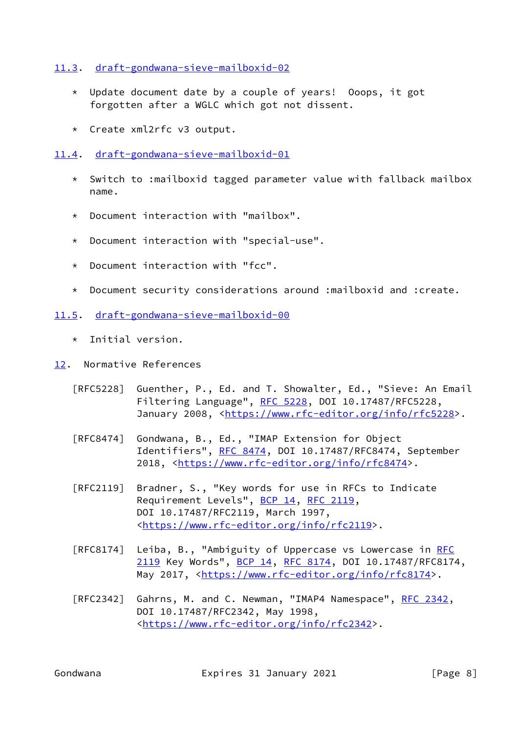<span id="page-8-0"></span>[11.3](#page-8-0). [draft-gondwana-sieve-mailboxid-02](https://datatracker.ietf.org/doc/pdf/draft-gondwana-sieve-mailboxid-02)

- \* Update document date by a couple of years! Ooops, it got forgotten after a WGLC which got not dissent.
- \* Create xml2rfc v3 output.

<span id="page-8-1"></span>[11.4](#page-8-1). [draft-gondwana-sieve-mailboxid-01](https://datatracker.ietf.org/doc/pdf/draft-gondwana-sieve-mailboxid-01)

- \* Switch to :mailboxid tagged parameter value with fallback mailbox name.
- \* Document interaction with "mailbox".
- \* Document interaction with "special-use".
- \* Document interaction with "fcc".
- \* Document security considerations around :mailboxid and :create.
- <span id="page-8-2"></span>[11.5](#page-8-2). [draft-gondwana-sieve-mailboxid-00](https://datatracker.ietf.org/doc/pdf/draft-gondwana-sieve-mailboxid-00)
	- \* Initial version.
- <span id="page-8-3"></span>[12.](#page-8-3) Normative References
	- [RFC5228] Guenther, P., Ed. and T. Showalter, Ed., "Sieve: An Email Filtering Language", [RFC 5228](https://datatracker.ietf.org/doc/pdf/rfc5228), DOI 10.17487/RFC5228, January 2008, [<https://www.rfc-editor.org/info/rfc5228](https://www.rfc-editor.org/info/rfc5228)>.
	- [RFC8474] Gondwana, B., Ed., "IMAP Extension for Object Identifiers", [RFC 8474](https://datatracker.ietf.org/doc/pdf/rfc8474), DOI 10.17487/RFC8474, September 2018, [<https://www.rfc-editor.org/info/rfc8474](https://www.rfc-editor.org/info/rfc8474)>.
	- [RFC2119] Bradner, S., "Key words for use in RFCs to Indicate Requirement Levels", [BCP 14](https://datatracker.ietf.org/doc/pdf/bcp14), [RFC 2119](https://datatracker.ietf.org/doc/pdf/rfc2119), DOI 10.17487/RFC2119, March 1997, <[https://www.rfc-editor.org/info/rfc2119>](https://www.rfc-editor.org/info/rfc2119).
	- [RFC8174] Leiba, B., "Ambiguity of Uppercase vs Lowercase in [RFC](https://datatracker.ietf.org/doc/pdf/rfc2119) [2119](https://datatracker.ietf.org/doc/pdf/rfc2119) Key Words", [BCP 14](https://datatracker.ietf.org/doc/pdf/bcp14), [RFC 8174,](https://datatracker.ietf.org/doc/pdf/rfc8174) DOI 10.17487/RFC8174, May 2017, [<https://www.rfc-editor.org/info/rfc8174](https://www.rfc-editor.org/info/rfc8174)>.
	- [RFC2342] Gahrns, M. and C. Newman, "IMAP4 Namespace", [RFC 2342](https://datatracker.ietf.org/doc/pdf/rfc2342), DOI 10.17487/RFC2342, May 1998, <[https://www.rfc-editor.org/info/rfc2342>](https://www.rfc-editor.org/info/rfc2342).